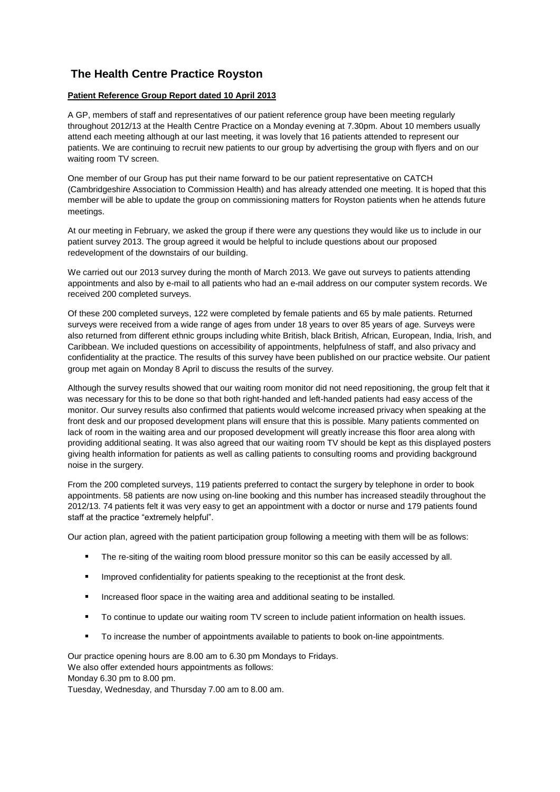## **The Health Centre Practice Royston**

## **Patient Reference Group Report dated 10 April 2013**

A GP, members of staff and representatives of our patient reference group have been meeting regularly throughout 2012/13 at the Health Centre Practice on a Monday evening at 7.30pm. About 10 members usually attend each meeting although at our last meeting, it was lovely that 16 patients attended to represent our patients. We are continuing to recruit new patients to our group by advertising the group with flyers and on our waiting room TV screen.

One member of our Group has put their name forward to be our patient representative on CATCH (Cambridgeshire Association to Commission Health) and has already attended one meeting. It is hoped that this member will be able to update the group on commissioning matters for Royston patients when he attends future meetings.

At our meeting in February, we asked the group if there were any questions they would like us to include in our patient survey 2013. The group agreed it would be helpful to include questions about our proposed redevelopment of the downstairs of our building.

We carried out our 2013 survey during the month of March 2013. We gave out surveys to patients attending appointments and also by e-mail to all patients who had an e-mail address on our computer system records. We received 200 completed surveys.

Of these 200 completed surveys, 122 were completed by female patients and 65 by male patients. Returned surveys were received from a wide range of ages from under 18 years to over 85 years of age. Surveys were also returned from different ethnic groups including white British, black British, African, European, India, Irish, and Caribbean. We included questions on accessibility of appointments, helpfulness of staff, and also privacy and confidentiality at the practice. The results of this survey have been published on our practice website. Our patient group met again on Monday 8 April to discuss the results of the survey.

Although the survey results showed that our waiting room monitor did not need repositioning, the group felt that it was necessary for this to be done so that both right-handed and left-handed patients had easy access of the monitor. Our survey results also confirmed that patients would welcome increased privacy when speaking at the front desk and our proposed development plans will ensure that this is possible. Many patients commented on lack of room in the waiting area and our proposed development will greatly increase this floor area along with providing additional seating. It was also agreed that our waiting room TV should be kept as this displayed posters giving health information for patients as well as calling patients to consulting rooms and providing background noise in the surgery.

From the 200 completed surveys, 119 patients preferred to contact the surgery by telephone in order to book appointments. 58 patients are now using on-line booking and this number has increased steadily throughout the 2012/13. 74 patients felt it was very easy to get an appointment with a doctor or nurse and 179 patients found staff at the practice "extremely helpful".

Our action plan, agreed with the patient participation group following a meeting with them will be as follows:

- **The re-siting of the waiting room blood pressure monitor so this can be easily accessed by all.**
- **IMPROVED CONFIDENTIALLY FOR PERISTM IN A LIGAN SYSTEM IN A LIGAN EXAM** INTERFANCE IN IMPROVED **In LIGAN SYSTEM** IN
- **Increased floor space in the waiting area and additional seating to be installed.**
- **To continue to update our waiting room TV screen to include patient information on health issues.**
- To increase the number of appointments available to patients to book on-line appointments.

Our practice opening hours are 8.00 am to 6.30 pm Mondays to Fridays. We also offer extended hours appointments as follows: Monday 6.30 pm to 8.00 pm.

Tuesday, Wednesday, and Thursday 7.00 am to 8.00 am.